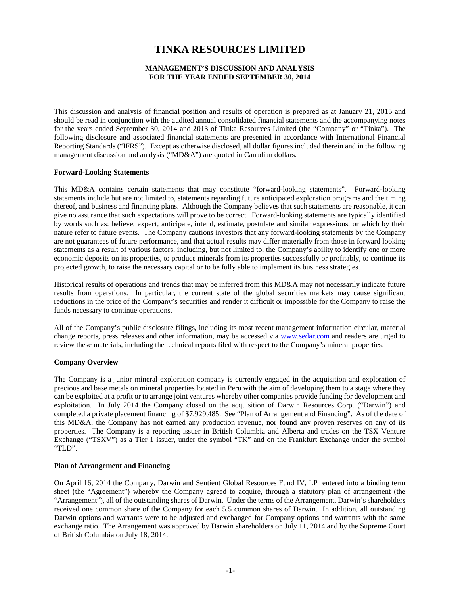# **TINKA RESOURCES LIMITED**

# **MANAGEMENT'S DISCUSSION AND ANALYSIS FOR THE YEAR ENDED SEPTEMBER 30, 2014**

This discussion and analysis of financial position and results of operation is prepared as at January 21, 2015 and should be read in conjunction with the audited annual consolidated financial statements and the accompanying notes for the years ended September 30, 2014 and 2013 of Tinka Resources Limited (the "Company" or "Tinka"). The following disclosure and associated financial statements are presented in accordance with International Financial Reporting Standards ("IFRS"). Except as otherwise disclosed, all dollar figures included therein and in the following management discussion and analysis ("MD&A") are quoted in Canadian dollars.

#### **Forward-Looking Statements**

This MD&A contains certain statements that may constitute "forward-looking statements". Forward-looking statements include but are not limited to, statements regarding future anticipated exploration programs and the timing thereof, and business and financing plans. Although the Company believes that such statements are reasonable, it can give no assurance that such expectations will prove to be correct. Forward-looking statements are typically identified by words such as: believe, expect, anticipate, intend, estimate, postulate and similar expressions, or which by their nature refer to future events. The Company cautions investors that any forward-looking statements by the Company are not guarantees of future performance, and that actual results may differ materially from those in forward looking statements as a result of various factors, including, but not limited to, the Company's ability to identify one or more economic deposits on its properties, to produce minerals from its properties successfully or profitably, to continue its projected growth, to raise the necessary capital or to be fully able to implement its business strategies.

Historical results of operations and trends that may be inferred from this MD&A may not necessarily indicate future results from operations. In particular, the current state of the global securities markets may cause significant reductions in the price of the Company's securities and render it difficult or impossible for the Company to raise the funds necessary to continue operations.

All of the Company's public disclosure filings, including its most recent management information circular, material change reports, press releases and other information, may be accessed via [www.sedar.com](http://www.sedar.com/) and readers are urged to review these materials, including the technical reports filed with respect to the Company's mineral properties.

#### **Company Overview**

The Company is a junior mineral exploration company is currently engaged in the acquisition and exploration of precious and base metals on mineral properties located in Peru with the aim of developing them to a stage where they can be exploited at a profit or to arrange joint ventures whereby other companies provide funding for development and exploitation. In July 2014 the Company closed on the acquisition of Darwin Resources Corp. ("Darwin") and completed a private placement financing of \$7,929,485. See "Plan of Arrangement and Financing". As of the date of this MD&A, the Company has not earned any production revenue, nor found any proven reserves on any of its properties. The Company is a reporting issuer in British Columbia and Alberta and trades on the TSX Venture Exchange ("TSXV") as a Tier 1 issuer, under the symbol "TK" and on the Frankfurt Exchange under the symbol "TLD".

#### **Plan of Arrangement and Financing**

On April 16, 2014 the Company, Darwin and Sentient Global Resources Fund IV, LP entered into a binding term sheet (the "Agreement") whereby the Company agreed to acquire, through a statutory plan of arrangement (the "Arrangement"), all of the outstanding shares of Darwin. Under the terms of the Arrangement, Darwin's shareholders received one common share of the Company for each 5.5 common shares of Darwin. In addition, all outstanding Darwin options and warrants were to be adjusted and exchanged for Company options and warrants with the same exchange ratio. The Arrangement was approved by Darwin shareholders on July 11, 2014 and by the Supreme Court of British Columbia on July 18, 2014.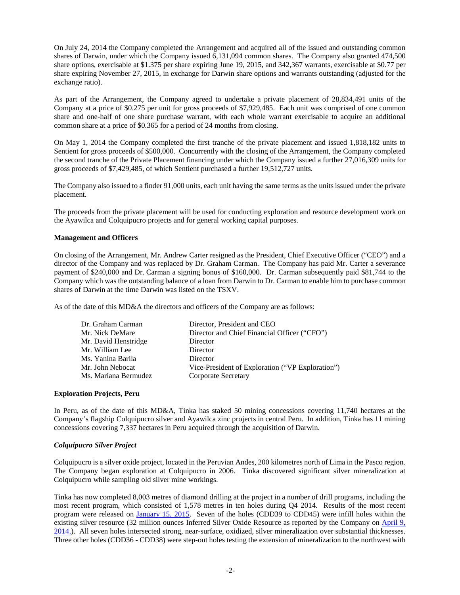On July 24, 2014 the Company completed the Arrangement and acquired all of the issued and outstanding common shares of Darwin, under which the Company issued 6,131,094 common shares. The Company also granted 474,500 share options, exercisable at \$1.375 per share expiring June 19, 2015, and 342,367 warrants, exercisable at \$0.77 per share expiring November 27, 2015, in exchange for Darwin share options and warrants outstanding (adjusted for the exchange ratio).

As part of the Arrangement, the Company agreed to undertake a private placement of 28,834,491 units of the Company at a price of \$0.275 per unit for gross proceeds of \$7,929,485. Each unit was comprised of one common share and one-half of one share purchase warrant, with each whole warrant exercisable to acquire an additional common share at a price of \$0.365 for a period of 24 months from closing.

On May 1, 2014 the Company completed the first tranche of the private placement and issued 1,818,182 units to Sentient for gross proceeds of \$500,000. Concurrently with the closing of the Arrangement, the Company completed the second tranche of the Private Placement financing under which the Company issued a further 27,016,309 units for gross proceeds of \$7,429,485, of which Sentient purchased a further 19,512,727 units.

The Company also issued to a finder 91,000 units, each unit having the same terms as the units issued under the private placement.

The proceeds from the private placement will be used for conducting exploration and resource development work on the Ayawilca and Colquipucro projects and for general working capital purposes.

## **Management and Officers**

On closing of the Arrangement, Mr. Andrew Carter resigned as the President, Chief Executive Officer ("CEO") and a director of the Company and was replaced by Dr. Graham Carman. The Company has paid Mr. Carter a severance payment of \$240,000 and Dr. Carman a signing bonus of \$160,000. Dr. Carman subsequently paid \$81,744 to the Company which was the outstanding balance of a loan from Darwin to Dr. Carman to enable him to purchase common shares of Darwin at the time Darwin was listed on the TSXV.

As of the date of this MD&A the directors and officers of the Company are as follows:

| Dr. Graham Carman    | Director, President and CEO                      |
|----------------------|--------------------------------------------------|
| Mr. Nick DeMare      | Director and Chief Financial Officer ("CFO")     |
| Mr. David Henstridge | Director                                         |
| Mr. William Lee      | Director                                         |
| Ms. Yanina Barila    | Director                                         |
| Mr. John Nebocat     | Vice-President of Exploration ("VP Exploration") |
| Ms. Mariana Bermudez | Corporate Secretary                              |
|                      |                                                  |

#### **Exploration Projects, Peru**

In Peru, as of the date of this MD&A, Tinka has staked 50 mining concessions covering 11,740 hectares at the Company's flagship Colquipucro silver and Ayawilca zinc projects in central Peru. In addition, Tinka has 11 mining concessions covering 7,337 hectares in Peru acquired through the acquisition of Darwin.

# *Colquipucro Silver Project*

Colquipucro is a silver oxide project, located in the Peruvian Andes, 200 kilometres north of Lima in the Pasco region. The Company began exploration at Colquipucro in 2006. Tinka discovered significant silver mineralization at Colquipucro while sampling old silver mine workings.

Tinka has now completed 8,003 metres of diamond drilling at the project in a number of drill programs, including the most recent program, which consisted of 1,578 metres in ten holes during Q4 2014. Results of the most recent program were released on [January 15, 2015.](http://www.tinkaresources.com/s/NewsReleases.asp?ReportID=691218&_Type=News&_Title=Tinka-Announces-Results-Of-1600-Metre-Ten-Hole-Drill-Program-At-Colquipucro...) Seven of the holes (CDD39 to CDD45) were infill holes within the existing silver resource (32 million ounces Inferred Silver Oxide Resource as reported by the Company on [April 9,](http://www.tinkaresources.com/s/NewsReleases.asp?ReportID=647002&_Type=News&_Title=Tinka-Files-Amended-Technical-Report-on-the-Colquipucro-project-Central-Per...)  [2014.\)](http://www.tinkaresources.com/s/NewsReleases.asp?ReportID=647002&_Type=News&_Title=Tinka-Files-Amended-Technical-Report-on-the-Colquipucro-project-Central-Per...). All seven holes intersected strong, near-surface, oxidized, silver mineralization over substantial thicknesses. Three other holes (CDD36 - CDD38) were step-out holes testing the extension of mineralization to the northwest with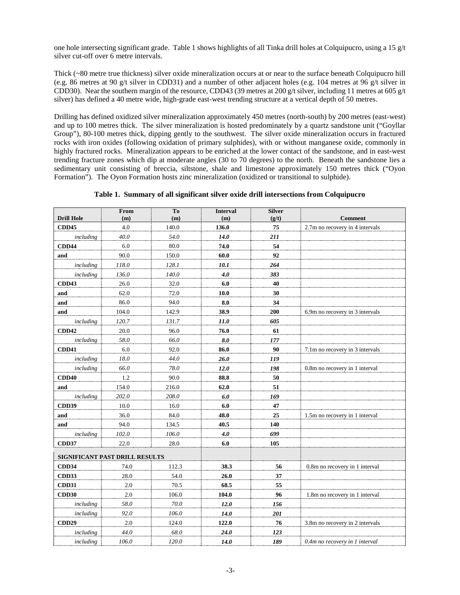one hole intersecting significant grade. Table 1 shows highlights of all Tinka drill holes at Colquipucro, using a 15  $g/t$ silver cut-off over 6 metre intervals.

Thick (~80 metre true thickness) silver oxide mineralization occurs at or near to the surface beneath Colquipucro hill (e.g. 86 metres at 90 g/t silver in CDD31) and a number of other adjacent holes (e.g. 104 metres at 96 g/t silver in CDD30). Near the southern margin of the resource, CDD43 (39 metres at 200 g/t silver, including 11 metres at 605 g/t silver) has defined a 40 metre wide, high-grade east-west trending structure at a vertical depth of 50 metres.

Drilling has defined oxidized silver mineralization approximately 450 metres (north-south) by 200 metres (east-west) and up to 100 metres thick. The silver mineralization is hosted predominately by a quartz sandstone unit ("Goyllar Group"), 80-100 metres thick, dipping gently to the southwest. The silver oxide mineralization occurs in fractured rocks with iron oxides (following oxidation of primary sulphides), with or without manganese oxide, commonly in highly fractured rocks. Mineralization appears to be enriched at the lower contact of the sandstone, and in east-west trending fracture zones which dip at moderate angles (30 to 70 degrees) to the north. Beneath the sandstone lies a sedimentary unit consisting of breccia, siltstone, shale and limestone approximately 150 metres thick ("Oyon Formation"). The Oyon Formation hosts zinc mineralization (oxidized or transitional to sulphide).

|                   | From                           | To    | <b>Interval</b> | <b>Silver</b> |                                 |
|-------------------|--------------------------------|-------|-----------------|---------------|---------------------------------|
| <b>Drill Hole</b> | (m)                            | (m)   | (m)             | (g/t)         | <b>Comment</b>                  |
| <b>CDD45</b>      | 4.0                            | 140.0 | 136.0           | 75            | 2.7m no recovery in 4 intervals |
| including         | 40.0                           | 54.0  | 14.0            | 211           |                                 |
| <b>CDD44</b>      | 6.0                            | 80.0  | 74.0            | 54            |                                 |
| and               | 90.0                           | 150.0 | 60.0            | 92            |                                 |
| including         | 118.0                          | 128.1 | 10.1            | 264           |                                 |
| including         | 136.0                          | 140.0 | 4.0             | 383           |                                 |
| <b>CDD43</b>      | 26.0                           | 32.0  | 6.0             | 40            |                                 |
| and               | 62.0                           | 72.0  | $\bf 10.0$      | 30            |                                 |
| and               | 86.0                           | 94.0  | 8.0             | 34            |                                 |
| and               | 104.0                          | 142.9 | 38.9            | 200           | 6.9m no recovery in 3 intervals |
| including         | 120.7                          | 131.7 | 11.0            | 605           |                                 |
| <b>CDD42</b>      | 20.0                           | 96.0  | 76.0            | 61            |                                 |
| including         | 58.0                           | 66.0  | 8.0             | 177           |                                 |
| <b>CDD41</b>      | 6.0                            | 92.0  | 86.0            | 90            | 7.1m no recovery in 3 intervals |
| including         | 18.0                           | 44.0  | 26.0            | 119           |                                 |
| including         | 66.0                           | 78.0  | 12.0            | 198           | 0.8m no recovery in 1 interval  |
| CDD <sub>40</sub> | 1.2                            | 90.0  | 88.8            | 50            |                                 |
| and               | 154.0                          | 216.0 | 62.0            | 51            |                                 |
| including         | 202.0                          | 208.0 | 6.0             | 169           |                                 |
| CDD39             | 10.0                           | 16.0  | 6.0             | 47            |                                 |
| and               | 36.0                           | 84.0  | 48.0            | 25            | 1.5m no recovery in 1 interval  |
| and               | 94.0                           | 134.5 | 40.5            | 140           |                                 |
| including         | 102.0                          | 106.0 | 4.0             | 699           |                                 |
| <b>CDD37</b>      | 22.0                           | 28.0  | 6.0             | 105           |                                 |
|                   |                                |       |                 |               |                                 |
|                   | SIGNIFICANT PAST DRILL RESULTS |       |                 |               |                                 |
| CDD34             | 74.0                           | 112.3 | 38.3            | 56            | 0.8m no recovery in 1 interval  |
| CDD33             | 28.0                           | 54.0  | 26.0            | 37            |                                 |
| <b>CDD31</b>      | 2.0                            | 70.5  | 68.5            | 55            |                                 |
| <b>CDD30</b>      | 2.0                            | 106.0 | 104.0           | 96            | 1.8m no recovery in 1 interval  |
| including         | 58.0                           | 70.0  | 12.0            | 156           |                                 |
| including         | 92.0                           | 106.0 | 14.0            | 201           |                                 |
| CDD <sub>29</sub> | 2.0                            | 124.0 | 122.0           | 76            | 3.8m no recovery in 2 intervals |
| including         | 44.0                           | 68.0  | 24.0            | 123           |                                 |
| including         | 106.0                          | 120.0 | 14.0            | 189           | 0.4m no recovery in 1 interval  |

**Table 1. Summary of all significant silver oxide drill intersections from Colquipucro**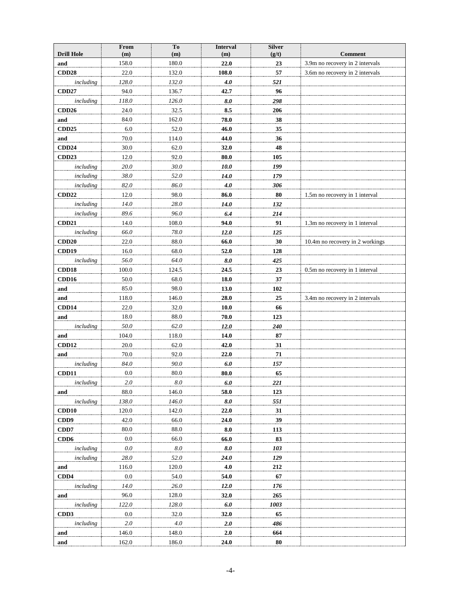|                           | From            | To           | <b>Interval</b> | <b>Silver</b> |                                                   |
|---------------------------|-----------------|--------------|-----------------|---------------|---------------------------------------------------|
| <b>Drill Hole</b>         | (m)<br>158.0    | (m)<br>180.0 | (m)<br>22.0     | (g/t)         | <b>Comment</b><br>3.9m no recovery in 2 intervals |
| and                       | 22.0            | 132.0        | 108.0           | 23<br>57      | 3.6m no recovery in 2 intervals                   |
| <b>CDD28</b>              | 128.0           | 132.0        | 4.0             | 521           |                                                   |
| including<br><b>CDD27</b> | 94.0            | 136.7        | 42.7            | 96            |                                                   |
| including                 | 118.0           | 126.0        | 8.0             | 298           |                                                   |
|                           | 24.0            | 32.5         | 8.5             | 206           |                                                   |
| <b>CDD26</b>              | 84.0            |              | 78.0            | 38            |                                                   |
| and                       |                 | 162.0        |                 |               |                                                   |
| <b>CDD25</b>              | $6.0\,$<br>70.0 | 52.0         | 46.0<br>44.0    | 35            |                                                   |
| and<br><b>CDD24</b>       |                 | 114.0        |                 | 36            |                                                   |
|                           | 30.0<br>12.0    | 62.0<br>92.0 | 32.0            | 48            |                                                   |
| CDD23                     | 20.0            | 30.0         | 80.0<br>10.0    | 105<br>199    |                                                   |
| including                 | 38.0            | 52.0         | 14.0            | 179           |                                                   |
| including<br>including    | 82.0            | 86.0         | 4.0             | 306           |                                                   |
|                           |                 |              |                 |               |                                                   |
| <b>CDD22</b>              | 12.0            | 98.0         | 86.0            | 80            | 1.5m no recovery in 1 interval                    |
| including                 | 14.0            | 28.0         | 14.0            | 132           |                                                   |
| including                 | 89.6            | 96.0         | 6.4             | 214           |                                                   |
| CDD <sub>21</sub>         | 14.0            | 108.0        | 94.0            | 91            | 1.3m no recovery in 1 interval                    |
| including                 | 66.0            | 78.0         | 12.0            | 125           |                                                   |
| CDD20                     | 22.0            | 88.0         | 66.0            | 30            | 10.4m no recovery in 2 workings                   |
| CDD19                     | 16.0            | 68.0         | 52.0            | 128           |                                                   |
| including                 | 56.0            | 64.0         | 8.0             | 425           |                                                   |
| CDD18                     | 100.0           | 124.5        | 24.5            | 23            | 0.5m no recovery in 1 interval                    |
| CDD16                     | 50.0            | 68.0         | 18.0            | 37            |                                                   |
| and                       | 85.0            | 98.0         | 13.0            | 102           |                                                   |
| and                       | 118.0           | 146.0        | 28.0            | 25            | 3.4m no recovery in 2 intervals                   |
| CDD14                     | 22.0            | 32.0         | 10.0            | 66            |                                                   |
| and                       | 18.0            | 88.0         | 70.0            | 123           |                                                   |
| including                 | 50.0            | 62.0         | 12.0            | 240           |                                                   |
| and                       | 104.0           | 118.0        | 14.0            | 87            |                                                   |
| CDD12                     | 20.0            | 62.0         | 42.0            | 31            |                                                   |
| and                       | 70.0            | 92.0         | 22.0            | 71            |                                                   |
| including                 | 84.0            | 90.0         | 6.0             | 157           |                                                   |
| <b>CDD11</b>              | 0.0             | 80.0         | 80.0            | 65            |                                                   |
| including                 | 2.0             | 8.0          | 6.0             | 221           |                                                   |
| and                       | 88.0            | 146.0        | 58.0            | 123           |                                                   |
| including                 | 138.0           | 146.0        | 8.0             | 551           |                                                   |
| CDD10                     | 120.0           | 142.0        | 22.0            | 31            |                                                   |
| CDD9                      | 42.0            | 66.0         | 24.0            | 39            |                                                   |
| CDD7                      | 80.0            | 88.0         | 8.0             | 113           |                                                   |
| CD <sub>D</sub> 6         | 0.0             | 66.0         | 66.0            | 83            |                                                   |
| including                 | $0.0\,$         | $8.0\,$      | 8.0             | 103           |                                                   |
| including                 | $28.0\,$        | 52.0         | 24.0            | 129           |                                                   |
| and                       | 116.0           | 120.0        | 4.0             | 212           |                                                   |
| CDD4                      | $0.0\,$         | 54.0         | 54.0            | 67            |                                                   |
| including                 | 14.0            | 26.0         | 12.0            | 176           |                                                   |
| and                       | 96.0            | 128.0        | 32.0            | 265           |                                                   |
| including                 | 122.0           | 128.0        | $6.0$           | 1003          |                                                   |
| CD <sub>D</sub> 3         | 0.0             | 32.0         | 32.0            | 65            |                                                   |
| including                 | $2.0\,$         | $4.0\,$      | 2.0             | 486           |                                                   |
| and                       | 146.0           | 148.0        | 2.0             | 664           |                                                   |
| and                       | 162.0           | 186.0        | 24.0            | 80            |                                                   |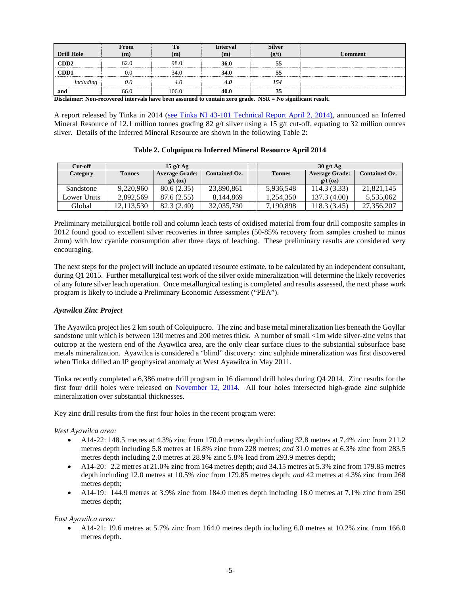|                   | From | 10    | Interval | <b>Silver</b> |                |
|-------------------|------|-------|----------|---------------|----------------|
| <b>Drill Hole</b> | (m   | m     | (m)      | (g/t)         | <b>Comment</b> |
| CD <sub>D</sub> 2 | 62.0 | 98.0  | 36.0     |               |                |
| CD <sub>D</sub> 1 | ЭC   | 34.0  | 34.0     |               |                |
| including         | 0.0  |       |          | 154           |                |
| and               | 66.0 | 106.0 | 40.0     | 33            |                |

**Disclaimer: Non-recovered intervals have been assumed to contain zero grade. NSR = No significant result.**

A report released by Tinka in 2014 [\(see Tinka NI 43-101 Technical Report](http://www.tinkaresources.com/i/pdf/reports/2014-04-02_ColquipucroNI43-101.pdf) April 2, 2014), announced an Inferred Mineral Resource of 12.1 million tonnes grading 82 g/t silver using a 15 g/t cut-off, equating to 32 million ounces silver. Details of the Inferred Mineral Resource are shown in the following Table 2:

| Cut-off     | $15 \frac{\text{g}}{\text{t} \text{Ag}}$ |                       |                      |               | $30$ g/t Ag           |                      |
|-------------|------------------------------------------|-----------------------|----------------------|---------------|-----------------------|----------------------|
| Category    | <b>Tonnes</b>                            | <b>Average Grade:</b> | <b>Contained Oz.</b> | <b>Tonnes</b> | <b>Average Grade:</b> | <b>Contained Oz.</b> |
|             |                                          | $g/t$ (oz)            |                      |               | $g/t$ (oz)            |                      |
| Sandstone   | 9.220.960                                | 80.6 (2.35)           | 23,890,861           | 5.936.548     | 114.3 (3.33)          | 21.821.145           |
| Lower Units | 2.892.569                                | 87.6 (2.55)           | 8.144.869            | 1.254.350     | 137.3 (4.00)          | 5.535.062            |
| Global      | 12,113,530                               | 82.3 (2.40)           | 32,035,730           | 7,190,898     | 118.3 (3.45)          | 27,356,207           |

**Table 2. Colquipucro Inferred Mineral Resource April 2014**

Preliminary metallurgical bottle roll and column leach tests of oxidised material from four drill composite samples in 2012 found good to excellent silver recoveries in three samples (50-85% recovery from samples crushed to minus 2mm) with low cyanide consumption after three days of leaching. These preliminary results are considered very encouraging.

The next steps for the project will include an updated resource estimate, to be calculated by an independent consultant, during Q1 2015. Further metallurgical test work of the silver oxide mineralization will determine the likely recoveries of any future silver leach operation. Once metallurgical testing is completed and results assessed, the next phase work program is likely to include a Preliminary Economic Assessment ("PEA").

# *Ayawilca Zinc Project*

The Ayawilca project lies 2 km south of Colquipucro. The zinc and base metal mineralization lies beneath the Goyllar sandstone unit which is between 130 metres and 200 metres thick. A number of small <1m wide silver-zinc veins that outcrop at the western end of the Ayawilca area, are the only clear surface clues to the substantial subsurface base metals mineralization. Ayawilca is considered a "blind" discovery: zinc sulphide mineralization was first discovered when Tinka drilled an IP geophysical anomaly at West Ayawilca in May 2011.

Tinka recently completed a 6,386 metre drill program in 16 diamond drill holes during Q4 2014. Zinc results for the first four drill holes were released on [November 12, 2014.](http://www.tinkaresources.com/s/NewsReleases.asp?ReportID=683079&_Type=News&_Title=Tinka-Intersects-Thick-High-Grade-Zinc-Mineralization-In-Four-Drill-Holes-A...) All four holes intersected high-grade zinc sulphide mineralization over substantial thicknesses.

Key zinc drill results from the first four holes in the recent program were:

*West Ayawilca area:*

- A14-22: 148.5 metres at 4.3% zinc from 170.0 metres depth including 32.8 metres at 7.4% zinc from 211.2 metres depth including 5.8 metres at 16.8% zinc from 228 metres; *and* 31.0 metres at 6.3% zinc from 283.5 metres depth including 2.0 metres at 28.9% zinc 5.8% lead from 293.9 metres depth;
- A14-20: 2.2 metres at 21.0% zinc from 164 metres depth; *and* 34.15 metres at 5.3% zinc from 179.85 metres depth including 12.0 metres at 10.5% zinc from 179.85 metres depth; *and* 42 metres at 4.3% zinc from 268 metres depth;
- A14-19: 144.9 metres at 3.9% zinc from 184.0 metres depth including 18.0 metres at 7.1% zinc from 250 metres depth;

# *East Ayawilca area:*

• A14-21: 19.6 metres at 5.7% zinc from 164.0 metres depth including 6.0 metres at 10.2% zinc from 166.0 metres depth.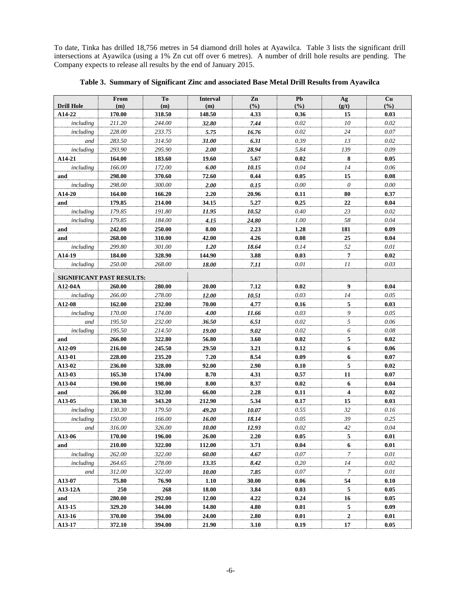To date, Tinka has drilled 18,756 metres in 54 diamond drill holes at Ayawilca. Table 3 lists the significant drill intersections at Ayawilca (using a 1% Zn cut off over 6 metres). A number of drill hole results are pending. The Company expects to release all results by the end of January 2015.

| <b>Drill Hole</b>         | From<br>(m) | To<br>(m) | <b>Interval</b><br>(m) | Zn<br>(%) | Pb<br>(%) | Ag<br>(g/t)             | <b>Cu</b><br>(%) |
|---------------------------|-------------|-----------|------------------------|-----------|-----------|-------------------------|------------------|
| A14-22                    | 170.00      | 318.50    | 148.50                 | 4.33      | 0.36      | 15                      | 0.03             |
| including                 | 211.20      | 244.00    | 32.80                  | 7.44      | 0.02      | 10                      | $0.02\,$         |
| including                 | 228.00      | 233.75    | 5.75                   | 16.76     | 0.02      | $24\,$                  | 0.07             |
| and                       | 283.50      | 314.50    | 31.00                  | 6.31      | 0.39      | 13                      | 0.02             |
| including                 | 293.90      | 295.90    | 2.00                   | 28.94     | 5.84      | 139                     | 0.09             |
| A14-21                    | 164.00      | 183.60    | 19.60                  | 5.67      | 0.02      | 8                       | 0.05             |
| including                 | 166.00      | 172.00    | 6.00                   | 10.15     | 0.04      | 14                      | 0.06             |
| and                       | 298.00      | 370.60    | 72.60                  | 0.44      | 0.05      | 15                      | 0.08             |
| including                 | 298.00      | 300.00    | 2.00                   | 0.15      | 0.00      | $\theta$                | 0.00             |
| A14-20                    | 164.00      | 166.20    | 2.20                   | 20.96     | 0.11      | 80                      | 0.37             |
| and                       | 179.85      | 214.00    | 34.15                  | 5.27      | 0.25      | 22                      | 0.04             |
| including                 | 179.85      | 191.80    | 11.95                  | 10.52     | 0.40      | 23                      | 0.02             |
| including                 | 179.85      | 184.00    | 4.15                   | 24.80     | 1.00      | 58                      | 0.04             |
| and                       | 242.00      | 250.00    | 8.00                   | 2.23      | 1.28      | 181                     | 0.09             |
| and                       | 268.00      | 310.00    | 42.00                  | 4.26      | 0.08      | ${\bf 25}$              | 0.04             |
| including                 | 299.80      | 301.00    | 1.20                   | 18.64     | 0.14      | 52                      | 0.01             |
| A14-19                    | 184.00      | 328.90    | 144.90                 | 3.88      | 0.03      | 7                       | 0.02             |
| including                 | 250.00      | 268.00    | 18.00                  | 7.11      | 0.01      | 11                      | 0.03             |
| SIGNIFICANT PAST RESULTS: |             |           |                        |           |           |                         |                  |
| A12-04A                   | 260.00      | 280.00    | 20.00                  | 7.12      | 0.02      | $\overline{9}$          | 0.04             |
| including                 | 266.00      | 278.00    | 12.00                  | 10.51     | 0.03      | 14                      | 0.05             |
| A12-08                    | 162.00      | 232.00    | 70.00                  | 4.77      | 0.16      | $\overline{5}$          | 0.03             |
| including                 | 170.00      | 174.00    | 4.00                   | 11.66     | 0.03      | 9                       | 0.05             |
| and                       | 195.50      | 232.00    | 36.50                  | 6.51      | 0.02      | 5                       | 0.06             |
| including                 | 195.50      | 214.50    | 19.00                  | 9.02      | 0.02      | 6                       | 0.08             |
| and                       | 266.00      | 322.80    | 56.80                  | 3.60      | 0.02      | 5                       | 0.02             |
| A12-09                    | 216.00      | 245.50    | 29.50                  | 3.21      | 0.12      | 6                       | 0.06             |
| A13-01                    | 228.00      | 235.20    | 7.20                   | 8.54      | 0.09      | 6                       | 0.07             |
| A13-02                    | 236.00      | 328.00    | 92.00                  | 2.90      | 0.10      | 5                       | 0.02             |
| A13-03                    | 165.30      | 174.00    | 8.70                   | 4.31      | 0.57      | 11                      | 0.07             |
| A13-04                    | 190.00      | 198.00    | 8.00                   | 8.37      | 0.02      | 6                       | 0.04             |
| and                       | 266.00      | 332.00    | 66.00                  | 2.28      | 0.11      | $\overline{\mathbf{4}}$ | 0.02             |
| A13-05                    | 130.30      | 343.20    | 212.90                 | 5.34      | 0.17      | 15                      | 0.03             |
| including                 | 130.30      | 179.50    | 49.20                  | 10.07     | 0.55      | 32                      | 0.16             |
| including                 | 150.00      | 166.00    | 16.00                  | 18.14     | 0.05      | 39                      | 0.25             |
| and                       | 316.00      | 326.00    | 10.00                  | 12.93     | 0.02      | $42\,$                  | 0.04             |
| A13-06                    | 170.00      | 196.00    | 26.00                  | 2.20      | 0.05      | ${\mathbf 5}$           | $0.01\,$         |
| and                       | 210.00      | 322.00    | 112.00                 | 3.71      | 0.04      | 6                       | 0.01             |
| including                 | 262.00      | 322.00    | 60.00                  | 4.67      | 0.07      | 7                       | 0.01             |
| including                 | 264.65      | 278.00    | 13.35                  | 8.42      | 0.20      | 14                      | 0.02             |
| and                       | 312.00      | 322.00    | 10.00                  | 7.85      | 0.07      | 7                       | 0.01             |
| A13-07                    | 75.80       | 76.90     | 1.10                   | 30.00     | 0.06      | 54                      | 0.10             |
| A13-12A                   | 250         | 268       | <b>18.00</b>           | 3.84      | 0.03      | 5                       | 0.05             |
| and                       | 280.00      | 292.00    | 12.00                  | 4.22      | 0.24      | 16                      | 0.05             |
| A13-15                    | 329.20      | 344.00    | 14.80                  | 4.80      | 0.01      | 5                       | 0.09             |
| A13-16                    | 370.00      | 394.00    | 24.00                  | 2.80      | 0.01      | $\boldsymbol{2}$        | 0.01             |
| A13-17                    | 372.10      | 394.00    | 21.90                  | 3.10      | 0.19      | 17                      | 0.05             |

**Table 3. Summary of Significant Zinc and associated Base Metal Drill Results from Ayawilca**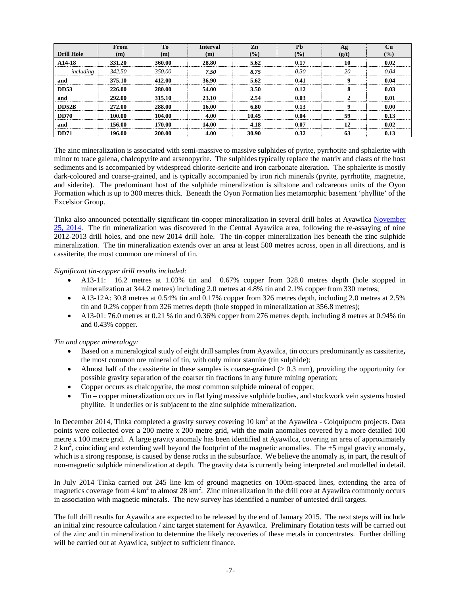|                     | <b>From</b> | To     | <b>Interval</b> | Zn             | Ph             |       |               |
|---------------------|-------------|--------|-----------------|----------------|----------------|-------|---------------|
| <b>Drill Hole</b>   | m           | (m)    | (m)             | $\frac{10}{2}$ | $\frac{10}{6}$ | (g/t) | $\frac{1}{2}$ |
| A <sub>14</sub> -18 | 331.20      | 360.00 | 28.80           | 5.62           |                |       |               |
| including           | 342.50      | 350.00 | 7.50            | 8.75           | O 30           | 20    |               |
| and                 | 375.10      | 412.00 | 36.90           | 5.62           |                |       |               |
| <b>DD53</b>         | 226.00      | 280.00 | 54.00           | 3.50           | 0.12           |       |               |
| and                 | 292.00      | 315.10 | 23 10           | 2.54           | 0.03           |       |               |
| <b>DD52B</b>        | 272.00      | 288.00 | 16.00           | 6.80           |                |       | ስ ሰበ          |
| DD70                | 100.00      | 104.00 | 4 OO            | 10.45          | 0 O 4          | 50    |               |
| and                 | 156.00      | '70.00 | M               |                | 0.07           |       |               |
| <b>DD71</b>         | 196.00      | 200.00 | 4.00            | 30.90          | 0.32           |       |               |

The zinc mineralization is associated with semi-massive to massive sulphides of pyrite, pyrrhotite and sphalerite with minor to trace galena, chalcopyrite and arsenopyrite. The sulphides typically replace the matrix and clasts of the host sediments and is accompanied by widespread chlorite-sericite and iron carbonate alteration. The sphalerite is mostly dark-coloured and coarse-grained, and is typically accompanied by iron rich minerals (pyrite, pyrrhotite, magnetite, and siderite). The predominant host of the sulphide mineralization is siltstone and calcareous units of the Oyon Formation which is up to 300 metres thick. Beneath the Oyon Formation lies metamorphic basement 'phyllite' of the Excelsior Group.

Tinka also announced potentially significant tin-copper mineralization in several drill holes at Ayawilca [November](http://www.tinkaresources.com/s/NewsReleases.asp?ReportID=685156&_Type=News&_Title=Tinka-Discovers-Tin-Copper-Mineralization-Beneath-High-Grade-Zinc-At-Ayawil...)  [25, 2014.](http://www.tinkaresources.com/s/NewsReleases.asp?ReportID=685156&_Type=News&_Title=Tinka-Discovers-Tin-Copper-Mineralization-Beneath-High-Grade-Zinc-At-Ayawil...) The tin mineralization was discovered in the Central Ayawilca area, following the re-assaying of nine 2012-2013 drill holes, and one new 2014 drill hole. The tin-copper mineralization lies beneath the zinc sulphide mineralization. The tin mineralization extends over an area at least 500 metres across, open in all directions, and is cassiterite, the most common ore mineral of tin.

## *Significant tin-copper drill results included:*

- A13-11: 16.2 metres at 1.03% tin and 0.67% copper from 328.0 metres depth (hole stopped in mineralization at 344.2 metres) including 2.0 metres at 4.8% tin and 2.1% copper from 330 metres;
- A13-12A: 30.8 metres at 0.54% tin and 0.17% copper from 326 metres depth, including 2.0 metres at 2.5% tin and 0.2% copper from 326 metres depth (hole stopped in mineralization at 356.8 metres);
- A13-01: 76.0 metres at 0.21 % tin and 0.36% copper from 276 metres depth, including 8 metres at 0.94% tin and 0.43% copper.

#### *Tin and copper mineralogy:*

- Based on a mineralogical study of eight drill samples from Ayawilca, tin occurs predominantly as cassiterite**,**  the most common ore mineral of tin, with only minor stannite (tin sulphide);
- Almost half of the cassiterite in these samples is coarse-grained  $(> 0.3 \text{ mm})$ , providing the opportunity for possible gravity separation of the coarser tin fractions in any future mining operation;
- Copper occurs as chalcopyrite, the most common sulphide mineral of copper;
- Tin copper mineralization occurs in flat lying massive sulphide bodies, and stockwork vein systems hosted phyllite. It underlies or is subjacent to the zinc sulphide mineralization.

In December 2014, Tinka completed a gravity survey covering 10 km<sup>2</sup> at the Ayawilca - Colquipucro projects. Data points were collected over a 200 metre x 200 metre grid, with the main anomalies covered by a more detailed 100 metre x 100 metre grid. A large gravity anomaly has been identified at Ayawilca, covering an area of approximately  $2 \text{ km}^2$ , coinciding and extending well beyond the footprint of the magnetic anomalies. The +5 mgal gravity anomaly, which is a strong response, is caused by dense rocks in the subsurface. We believe the anomaly is, in part, the result of non-magnetic sulphide mineralization at depth. The gravity data is currently being interpreted and modelled in detail.

In July 2014 Tinka carried out 245 line km of ground magnetics on 100m-spaced lines, extending the area of magnetics coverage from 4  $km^2$  to almost 28 km<sup>2</sup>. Zinc mineralization in the drill core at Ayawilca commonly occurs in association with magnetic minerals. The new survey has identified a number of untested drill targets.

The full drill results for Ayawilca are expected to be released by the end of January 2015. The next steps will include an initial zinc resource calculation / zinc target statement for Ayawilca. Preliminary flotation tests will be carried out of the zinc and tin mineralization to determine the likely recoveries of these metals in concentrates. Further drilling will be carried out at Ayawilca, subject to sufficient finance.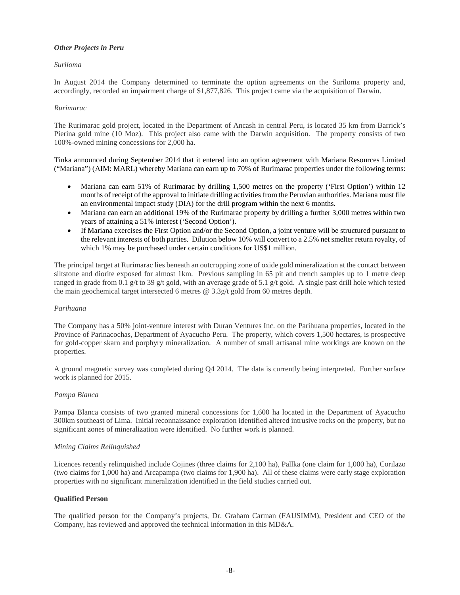# *Other Projects in Peru*

#### *Suriloma*

In August 2014 the Company determined to terminate the option agreements on the Suriloma property and, accordingly, recorded an impairment charge of \$1,877,826. This project came via the acquisition of Darwin.

#### *Rurimarac*

The Rurimarac gold project, located in the Department of Ancash in central Peru, is located 35 km from Barrick's Pierina gold mine (10 Moz). This project also came with the Darwin acquisition. The property consists of two 100%-owned mining concessions for 2,000 ha.

Tinka announced during September 2014 that it entered into an option agreement with Mariana Resources Limited ("Mariana") (AIM: MARL) whereby Mariana can earn up to 70% of Rurimarac properties under the following terms:

- Mariana can earn 51% of Rurimarac by drilling 1,500 metres on the property ('First Option') within 12 months of receipt of the approval to initiate drilling activities from the Peruvian authorities. Mariana must file an environmental impact study (DIA) for the drill program within the next 6 months.
- Mariana can earn an additional 19% of the Rurimarac property by drilling a further 3,000 metres within two years of attaining a 51% interest ('Second Option').
- If Mariana exercises the First Option and/or the Second Option, a joint venture will be structured pursuant to the relevant interests of both parties. Dilution below 10% will convert to a 2.5% net smelter return royalty, of which 1% may be purchased under certain conditions for US\$1 million.

The principal target at Rurimarac lies beneath an outcropping zone of oxide gold mineralization at the contact between siltstone and diorite exposed for almost 1km. Previous sampling in 65 pit and trench samples up to 1 metre deep ranged in grade from 0.1 g/t to 39 g/t gold, with an average grade of 5.1 g/t gold. A single past drill hole which tested the main geochemical target intersected 6 metres @ 3.3g/t gold from 60 metres depth.

#### *Parihuana*

The Company has a 50% joint-venture interest with Duran Ventures Inc. on the Parihuana properties, located in the Province of Parinacochas, Department of Ayacucho Peru. The property, which covers 1,500 hectares, is prospective for gold-copper skarn and porphyry mineralization. A number of small artisanal mine workings are known on the properties.

A ground magnetic survey was completed during Q4 2014. The data is currently being interpreted. Further surface work is planned for 2015.

#### *Pampa Blanca*

Pampa Blanca consists of two granted mineral concessions for 1,600 ha located in the Department of Ayacucho 300km southeast of Lima. Initial reconnaissance exploration identified altered intrusive rocks on the property, but no significant zones of mineralization were identified. No further work is planned.

#### *Mining Claims Relinquished*

Licences recently relinquished include Cojines (three claims for 2,100 ha), Pallka (one claim for 1,000 ha), Corilazo (two claims for 1,000 ha) and Arcapampa (two claims for 1,900 ha). All of these claims were early stage exploration properties with no significant mineralization identified in the field studies carried out.

#### **Qualified Person**

The qualified person for the Company's projects, Dr. Graham Carman (FAUSIMM), President and CEO of the Company, has reviewed and approved the technical information in this MD&A.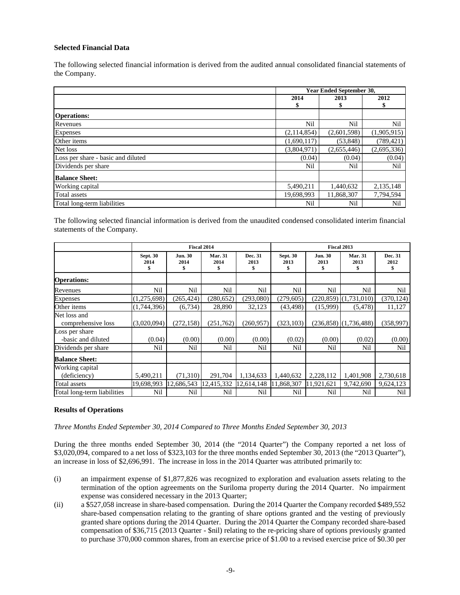# **Selected Financial Data**

The following selected financial information is derived from the audited annual consolidated financial statements of the Company.

|                                    | <b>Year Ended September 30,</b> |             |             |
|------------------------------------|---------------------------------|-------------|-------------|
|                                    | 2014                            | 2013        | 2012        |
|                                    |                                 |             |             |
| <b>Operations:</b>                 |                                 |             |             |
| Revenues                           | Nil                             | Nil         | Nil         |
| Expenses                           | (2,114,854)                     | (2,601,598) | (1,905,915) |
| Other items                        | (1,690,117)                     | (53, 848)   | (789, 421)  |
| Net loss                           | (3,804,971)                     | (2,655,446) | (2,695,336) |
| Loss per share - basic and diluted | (0.04)                          | (0.04)      | (0.04)      |
| Dividends per share                | Nil                             | Nil         | Nil         |
| <b>Balance Sheet:</b>              |                                 |             |             |
| Working capital                    | 5,490,211                       | 1,440,632   | 2,135,148   |
| Total assets                       | 19,698,993                      | 11,868,307  | 7,794,594   |
| Total long-term liabilities        | Nil                             | Nil         | Nil         |

The following selected financial information is derived from the unaudited condensed consolidated interim financial statements of the Company.

|                                      | Fiscal 2014             |                              |                             |                 | Fiscal 2013             |                        |                           |                 |
|--------------------------------------|-------------------------|------------------------------|-----------------------------|-----------------|-------------------------|------------------------|---------------------------|-----------------|
|                                      | <b>Sept. 30</b><br>2014 | <b>Jun. 30</b><br>2014<br>\$ | <b>Mar. 31</b><br>2014<br>S | Dec. 31<br>2013 | <b>Sept. 30</b><br>2013 | <b>Jun. 30</b><br>2013 | <b>Mar. 31</b><br>2013    | Dec. 31<br>2012 |
| <b>Operations:</b>                   |                         |                              |                             |                 |                         |                        |                           |                 |
| Revenues                             | Nil                     | Nil                          | Nil                         | Nil             | Nil                     | Nil                    | Nil                       | Nil             |
| <b>Expenses</b>                      | (1,275,698)             | (265, 424)                   | (280, 652)                  | (293,080)       | (279, 605)              | (220, 859)             | (1,731,010)               | (370, 124)      |
| Other items                          | (1,744,396)             | (6,734)                      | 28,890                      | 32,123          | (43, 498)               | (15,999)               | (5, 478)                  | 11,127          |
| Net loss and<br>comprehensive loss   | (3,020,094)             | (272, 158)                   | (251, 762)                  | (260, 957)      | (323, 103)              |                        | $(236,858)$ $(1,736,488)$ | (358, 997)      |
| Loss per share<br>-basic and diluted | (0.04)                  | (0.00)                       | (0.00)                      | (0.00)          | (0.02)                  | (0.00)                 | (0.02)                    | (0.00)          |
| Dividends per share                  | Nil                     | Nil                          | Nil                         | Nil             | Nil                     | Nil                    | Nil                       | Nil             |
| <b>Balance Sheet:</b>                |                         |                              |                             |                 |                         |                        |                           |                 |
| Working capital                      |                         |                              |                             |                 |                         |                        |                           |                 |
| (deficiency)                         | 5,490,211               | (71,310)                     | 291,704                     | 1,134,633       | 1,440,632               | 2,228,112              | 1,401,908                 | 2,730,618       |
| Total assets                         | 19,698,993              | 12,686,543                   | 12,415,332                  | 12,614,148      | 11,868,307              | 11,921,621             | 9,742,690                 | 9,624,123       |
| Total long-term liabilities          | Nil                     | Nil                          | Nil                         | Nil             | Nil                     | Nil                    | Nil                       | Nil             |

### **Results of Operations**

*Three Months Ended September 30, 2014 Compared to Three Months Ended September 30, 2013*

During the three months ended September 30, 2014 (the "2014 Quarter") the Company reported a net loss of \$3,020,094, compared to a net loss of \$323,103 for the three months ended September 30, 2013 (the "2013 Quarter"), an increase in loss of \$2,696,991. The increase in loss in the 2014 Quarter was attributed primarily to:

- (i) an impairment expense of \$1,877,826 was recognized to exploration and evaluation assets relating to the termination of the option agreements on the Suriloma property during the 2014 Quarter. No impairment expense was considered necessary in the 2013 Quarter;
- (ii) a \$527,058 increase in share-based compensation. During the 2014 Quarter the Company recorded \$489,552 share-based compensation relating to the granting of share options granted and the vesting of previously granted share options during the 2014 Quarter. During the 2014 Quarter the Company recorded share-based compensation of \$36,715 (2013 Quarter - \$nil) relating to the re-pricing share of options previously granted to purchase 370,000 common shares, from an exercise price of \$1.00 to a revised exercise price of \$0.30 per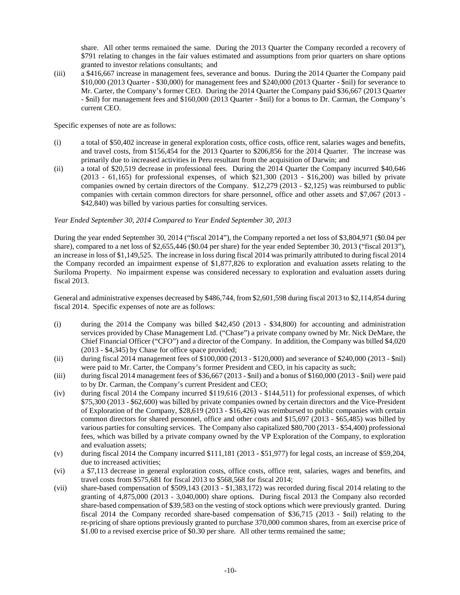share. All other terms remained the same. During the 2013 Quarter the Company recorded a recovery of \$791 relating to changes in the fair values estimated and assumptions from prior quarters on share options granted to investor relations consultants; and

(iii) a \$416,667 increase in management fees, severance and bonus. During the 2014 Quarter the Company paid \$10,000 (2013 Quarter - \$30,000) for management fees and \$240,000 (2013 Quarter - \$nil) for severance to Mr. Carter, the Company's former CEO. During the 2014 Quarter the Company paid \$36,667 (2013 Quarter - \$nil) for management fees and \$160,000 (2013 Quarter - \$nil) for a bonus to Dr. Carman, the Company's current CEO.

Specific expenses of note are as follows:

- (i) a total of \$50,402 increase in general exploration costs, office costs, office rent, salaries wages and benefits, and travel costs, from \$156,454 for the 2013 Quarter to \$206,856 for the 2014 Quarter. The increase was primarily due to increased activities in Peru resultant from the acquisition of Darwin; and
- (ii) a total of \$20,519 decrease in professional fees. During the 2014 Quarter the Company incurred \$40,646 (2013 - 61,165) for professional expenses, of which \$21,300 (2013 - \$16,200) was billed by private companies owned by certain directors of the Company. \$12,279 (2013 - \$2,125) was reimbursed to public companies with certain common directors for share personnel, office and other assets and \$7,067 (2013 - \$42,840) was billed by various parties for consulting services.

# *Year Ended September 30, 2014 Compared to Year Ended September 30, 2013*

During the year ended September 30, 2014 ("fiscal 2014"), the Company reported a net loss of \$3,804,971 (\$0.04 per share), compared to a net loss of \$2,655,446 (\$0.04 per share) for the year ended September 30, 2013 ("fiscal 2013"), an increase in loss of \$1,149,525. The increase in loss during fiscal 2014 was primarily attributed to during fiscal 2014 the Company recorded an impairment expense of \$1,877,826 to exploration and evaluation assets relating to the Suriloma Property. No impairment expense was considered necessary to exploration and evaluation assets during fiscal 2013.

General and administrative expenses decreased by \$486,744, from \$2,601,598 during fiscal 2013 to \$2,114,854 during fiscal 2014. Specific expenses of note are as follows:

- (i) during the 2014 the Company was billed \$42,450 (2013 \$34,800) for accounting and administration services provided by Chase Management Ltd. ("Chase") a private company owned by Mr. Nick DeMare, the Chief Financial Officer ("CFO") and a director of the Company. In addition, the Company was billed \$4,020 (2013 - \$4,345) by Chase for office space provided;
- (ii) during fiscal 2014 management fees of \$100,000 (2013 \$120,000) and severance of \$240,000 (2013 \$nil) were paid to Mr. Carter, the Company's former President and CEO, in his capacity as such;
- (iii) during fiscal 2014 management fees of \$36,667 (2013 \$nil) and a bonus of \$160,000 (2013 \$nil) were paid to by Dr. Carman, the Company's current President and CEO;
- (iv) during fiscal 2014 the Company incurred \$119,616 (2013 \$144,511) for professional expenses, of which \$75,300 (2013 - \$62,600) was billed by private companies owned by certain directors and the Vice-President of Exploration of the Company, \$28,619 (2013 - \$16,426) was reimbursed to public companies with certain common directors for shared personnel, office and other costs and \$15,697 (2013 - \$65,485) was billed by various parties for consulting services. The Company also capitalized \$80,700 (2013 - \$54,400) professional fees, which was billed by a private company owned by the VP Exploration of the Company, to exploration and evaluation assets;
- (v) during fiscal 2014 the Company incurred \$111,181 (2013 \$51,977) for legal costs, an increase of \$59,204, due to increased activities;
- (vi) a \$7,113 decrease in general exploration costs, office costs, office rent, salaries, wages and benefits, and travel costs from \$575,681 for fiscal 2013 to \$568,568 for fiscal 2014;
- (vii) share-based compensation of \$509,143 (2013 \$1,383,172) was recorded during fiscal 2014 relating to the granting of 4,875,000 (2013 - 3,040,000) share options. During fiscal 2013 the Company also recorded share-based compensation of \$39,583 on the vesting of stock options which were previously granted. During fiscal 2014 the Company recorded share-based compensation of \$36,715 (2013 - \$nil) relating to the re-pricing of share options previously granted to purchase 370,000 common shares, from an exercise price of \$1.00 to a revised exercise price of \$0.30 per share. All other terms remained the same;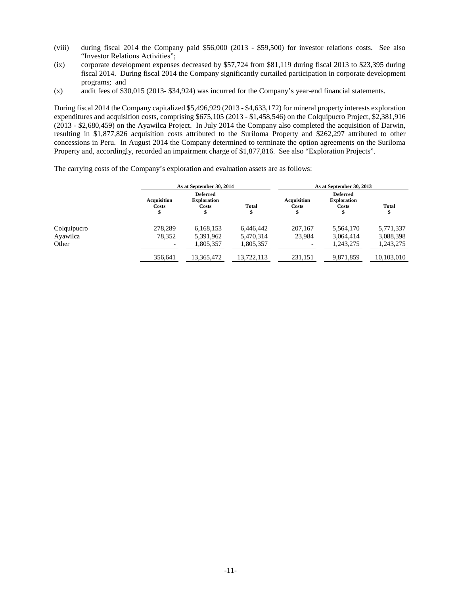- (viii) during fiscal 2014 the Company paid \$56,000 (2013 \$59,500) for investor relations costs. See also "Investor Relations Activities";
- (ix) corporate development expenses decreased by \$57,724 from \$81,119 during fiscal 2013 to \$23,395 during fiscal 2014. During fiscal 2014 the Company significantly curtailed participation in corporate development programs; and
- (x) audit fees of \$30,015 (2013- \$34,924) was incurred for the Company's year-end financial statements.

During fiscal 2014 the Company capitalized \$5,496,929 (2013 - \$4,633,172) for mineral property interests exploration expenditures and acquisition costs, comprising \$675,105 (2013 - \$1,458,546) on the Colquipucro Project, \$2,381,916 (2013 - \$2,680,459) on the Ayawilca Project. In July 2014 the Company also completed the acquisition of Darwin, resulting in \$1,877,826 acquisition costs attributed to the Suriloma Property and \$262,297 attributed to other concessions in Peru. In August 2014 the Company determined to terminate the option agreements on the Suriloma Property and, accordingly, recorded an impairment charge of \$1,877,816. See also "Exploration Projects".

The carrying costs of the Company's exploration and evaluation assets are as follows:

|             |                             | As at September 30, 2014                             |                   | As at September 30, 2013    |                                                |                    |  |
|-------------|-----------------------------|------------------------------------------------------|-------------------|-----------------------------|------------------------------------------------|--------------------|--|
|             | <b>Acquisition</b><br>Costs | <b>Deferred</b><br><b>Exploration</b><br>Costs<br>\$ | <b>Total</b><br>Φ | <b>Acquisition</b><br>Costs | <b>Deferred</b><br><b>Exploration</b><br>Costs | <b>Total</b><br>\$ |  |
| Colquipucro | 278.289                     | 6,168,153                                            | 6.446.442         | 207,167                     | 5,564,170                                      | 5,771,337          |  |
| Ayawilca    | 78,352                      | 5,391,962                                            | 5,470,314         | 23,984                      | 3,064,414                                      | 3,088,398          |  |
| Other       |                             | 1,805,357                                            | 1,805,357         | $\overline{\phantom{0}}$    | 1.243.275                                      | 1,243,275          |  |
|             | 356,641                     | 13,365,472                                           | 13.722.113        | 231,151                     | 9,871,859                                      | 10,103,010         |  |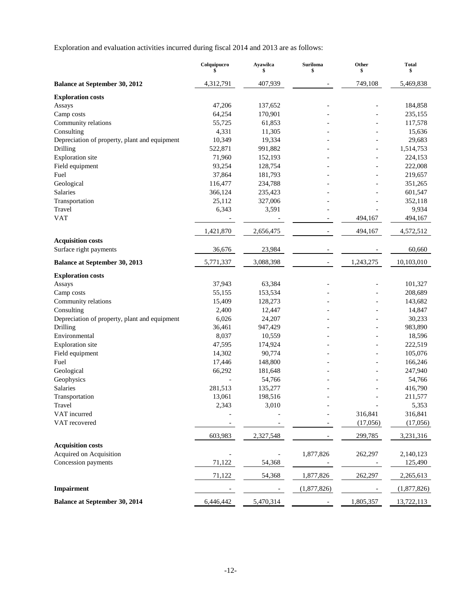Exploration and evaluation activities incurred during fiscal 2014 and 2013 are as follows:

|                                               | Colquipucro<br>\$        | Ayawilca<br>\$ | <b>Suriloma</b><br>\$    | Other<br>\$ | <b>Total</b><br>\$ |
|-----------------------------------------------|--------------------------|----------------|--------------------------|-------------|--------------------|
| <b>Balance at September 30, 2012</b>          | 4,312,791                | 407,939        |                          | 749,108     | 5,469,838          |
| <b>Exploration costs</b>                      |                          |                |                          |             |                    |
| Assays                                        | 47,206                   | 137,652        |                          |             | 184,858            |
| Camp costs                                    | 64,254                   | 170,901        |                          |             | 235,155            |
| Community relations                           | 55,725                   | 61,853         |                          |             | 117,578            |
| Consulting                                    | 4,331                    | 11,305         |                          |             | 15,636             |
| Depreciation of property, plant and equipment | 10,349                   | 19,334         |                          |             | 29,683             |
| Drilling                                      | 522,871                  | 991,882        |                          |             | 1,514,753          |
| <b>Exploration</b> site                       | 71,960                   | 152,193        |                          |             | 224,153            |
| Field equipment                               | 93,254                   | 128,754        |                          |             | 222,008            |
| Fuel                                          | 37,864                   | 181,793        |                          |             | 219,657            |
| Geological                                    | 116,477                  | 234,788        |                          |             | 351,265            |
| Salaries                                      | 366,124                  | 235,423        |                          |             | 601,547            |
| Transportation                                | 25,112                   | 327,006        |                          |             | 352,118            |
| Travel                                        | 6,343                    | 3,591          |                          |             | 9,934              |
| <b>VAT</b>                                    | $\overline{\phantom{0}}$ |                |                          | 494,167     | 494,167            |
|                                               | 1,421,870                | 2,656,475      |                          | 494,167     | 4,572,512          |
| <b>Acquisition costs</b>                      |                          |                |                          |             |                    |
| Surface right payments                        | 36,676                   | 23,984         |                          |             | 60,660             |
| <b>Balance at September 30, 2013</b>          | 5,771,337                | 3,088,398      | $\overline{\phantom{a}}$ | 1,243,275   | 10,103,010         |
| <b>Exploration costs</b>                      |                          |                |                          |             |                    |
| Assays                                        | 37,943                   | 63,384         |                          |             | 101,327            |
| Camp costs                                    | 55,155                   | 153,534        |                          |             | 208,689            |
| Community relations                           | 15,409                   | 128,273        |                          |             | 143,682            |
| Consulting                                    | 2,400                    | 12,447         |                          |             | 14,847             |
| Depreciation of property, plant and equipment | 6,026                    | 24,207         |                          |             | 30,233             |
| Drilling                                      | 36,461                   | 947,429        |                          |             | 983,890            |
| Environmental                                 | 8,037                    | 10,559         |                          |             | 18,596             |
| <b>Exploration</b> site                       | 47,595                   | 174,924        |                          |             | 222,519            |
| Field equipment                               | 14,302                   | 90,774         |                          |             | 105,076            |
| Fuel                                          | 17,446                   | 148,800        |                          |             | 166,246            |
| Geological                                    | 66,292                   | 181,648        |                          |             | 247,940            |
| Geophysics                                    |                          | 54,766         |                          |             | 54,766             |
| Salaries                                      | 281,513                  | 135,277        |                          |             | 416,790            |
| Transportation                                | 13,061                   | 198,516        |                          |             | 211,577            |
| Travel                                        | 2,343                    | 3,010          |                          |             | 5,353              |
| VAT incurred                                  |                          |                |                          | 316,841     | 316,841            |
| VAT recovered                                 |                          |                |                          | (17,056)    | (17,056)           |
|                                               | 603,983                  | 2,327,548      |                          | 299,785     | 3,231,316          |
| <b>Acquisition costs</b>                      |                          |                |                          |             |                    |
| Acquired on Acquisition                       |                          |                | 1,877,826                | 262,297     | 2,140,123          |
| Concession payments                           | 71,122                   | 54,368         |                          |             | 125,490            |
|                                               | 71,122                   | 54,368         | 1,877,826                | 262,297     | 2,265,613          |
| Impairment                                    |                          |                | (1,877,826)              |             | (1,877,826)        |
| <b>Balance at September 30, 2014</b>          | 6,446,442                | 5,470,314      |                          | 1,805,357   | 13,722,113         |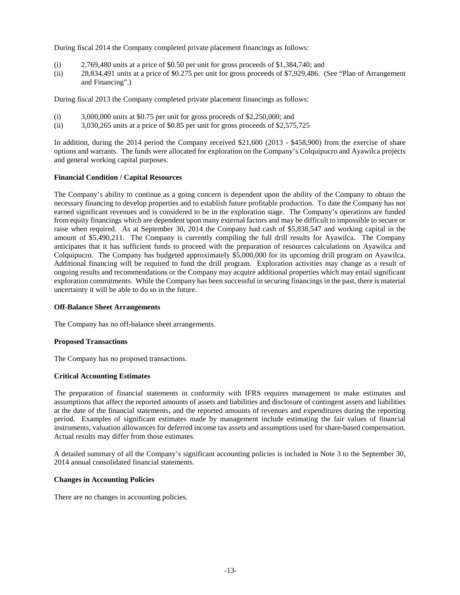During fiscal 2014 the Company completed private placement financings as follows:

- (i) 2,769,480 units at a price of \$0.50 per unit for gross proceeds of \$1,384,740; and
- (ii) 28,834,491 units at a price of \$0.275 per unit for gross proceeds of \$7,929,486. (See "Plan of Arrangement and Financing".)

During fiscal 2013 the Company completed private placement financings as follows:

- $(i)$  3,000,000 units at \$0.75 per unit for gross proceeds of \$2,250,000; and
- (ii) 3,030,265 units at a price of \$0.85 per unit for gross proceeds of \$2,575,725

In addition, during the 2014 period the Company received \$21,600 (2013 - \$458,900) from the exercise of share options and warrants. The funds were allocated for exploration on the Company's Colquipucro and Ayawilca projects and general working capital purposes.

## **Financial Condition / Capital Resources**

The Company's ability to continue as a going concern is dependent upon the ability of the Company to obtain the necessary financing to develop properties and to establish future profitable production. To date the Company has not earned significant revenues and is considered to be in the exploration stage. The Company's operations are funded from equity financings which are dependent upon many external factors and may be difficult to impossible to secure or raise when required. As at September 30, 2014 the Company had cash of \$5,838,547 and working capital in the amount of \$5,490,211. The Company is currently compiling the full drill results for Ayawilca. The Company anticipates that it has sufficient funds to proceed with the preparation of resources calculations on Ayawilca and Colquipucro. The Company has budgeted approximately \$5,000,000 for its upcoming drill program on Ayawilca. Additional financing will be required to fund the drill program. Exploration activities may change as a result of ongoing results and recommendations or the Company may acquire additional properties which may entail significant exploration commitments. While the Company has been successful in securing financings in the past, there is material uncertainty it will be able to do so in the future.

#### **Off-Balance Sheet Arrangements**

The Company has no off-balance sheet arrangements.

#### **Proposed Transactions**

The Company has no proposed transactions.

# **Critical Accounting Estimates**

The preparation of financial statements in conformity with IFRS requires management to make estimates and assumptions that affect the reported amounts of assets and liabilities and disclosure of contingent assets and liabilities at the date of the financial statements, and the reported amounts of revenues and expenditures during the reporting period. Examples of significant estimates made by management include estimating the fair values of financial instruments, valuation allowances for deferred income tax assets and assumptions used for share-based compensation. Actual results may differ from those estimates.

A detailed summary of all the Company's significant accounting policies is included in Note 3 to the September 30, 2014 annual consolidated financial statements.

# **Changes in Accounting Policies**

There are no changes in accounting policies.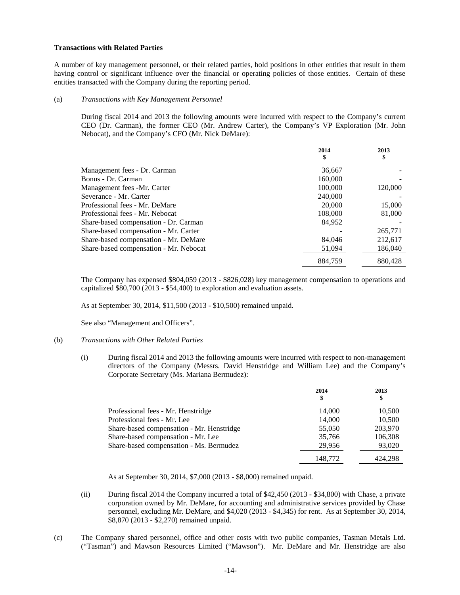#### **Transactions with Related Parties**

A number of key management personnel, or their related parties, hold positions in other entities that result in them having control or significant influence over the financial or operating policies of those entities. Certain of these entities transacted with the Company during the reporting period.

#### (a) *Transactions with Key Management Personnel*

During fiscal 2014 and 2013 the following amounts were incurred with respect to the Company's current CEO (Dr. Carman), the former CEO (Mr. Andrew Carter), the Company's VP Exploration (Mr. John Nebocat), and the Company's CFO (Mr. Nick DeMare):

|                                        | 2014<br>\$ | 2013<br>\$ |
|----------------------------------------|------------|------------|
| Management fees - Dr. Carman           | 36,667     |            |
| Bonus - Dr. Carman                     | 160,000    |            |
| Management fees -Mr. Carter            | 100,000    | 120,000    |
| Severance - Mr. Carter                 | 240,000    |            |
| Professional fees - Mr. DeMare         | 20,000     | 15,000     |
| Professional fees - Mr. Nebocat        | 108,000    | 81,000     |
| Share-based compensation - Dr. Carman  | 84.952     |            |
| Share-based compensation - Mr. Carter  |            | 265,771    |
| Share-based compensation - Mr. DeMare  | 84.046     | 212,617    |
| Share-based compensation - Mr. Nebocat | 51,094     | 186,040    |
|                                        | 884.759    | 880,428    |

The Company has expensed \$804,059 (2013 - \$826,028) key management compensation to operations and capitalized \$80,700 (2013 - \$54,400) to exploration and evaluation assets.

As at September 30, 2014, \$11,500 (2013 - \$10,500) remained unpaid.

See also "Management and Officers".

#### (b) *Transactions with Other Related Parties*

(i) During fiscal 2014 and 2013 the following amounts were incurred with respect to non-management directors of the Company (Messrs. David Henstridge and William Lee) and the Company's Corporate Secretary (Ms. Mariana Bermudez):

|                                           | 2014<br>\$ | 2013<br>\$ |
|-------------------------------------------|------------|------------|
| Professional fees - Mr. Henstridge        | 14,000     | 10,500     |
| Professional fees - Mr. Lee               | 14,000     | 10,500     |
| Share-based compensation - Mr. Henstridge | 55,050     | 203,970    |
| Share-based compensation - Mr. Lee        | 35,766     | 106,308    |
| Share-based compensation - Ms. Bermudez   | 29,956     | 93,020     |
|                                           | 148.772    | 424.298    |

As at September 30, 2014, \$7,000 (2013 - \$8,000) remained unpaid.

- (ii) During fiscal 2014 the Company incurred a total of \$42,450 (2013 \$34,800) with Chase, a private corporation owned by Mr. DeMare, for accounting and administrative services provided by Chase personnel, excluding Mr. DeMare, and \$4,020 (2013 - \$4,345) for rent. As at September 30, 2014, \$8,870 (2013 - \$2,270) remained unpaid.
- (c) The Company shared personnel, office and other costs with two public companies, Tasman Metals Ltd. ("Tasman") and Mawson Resources Limited ("Mawson"). Mr. DeMare and Mr. Henstridge are also